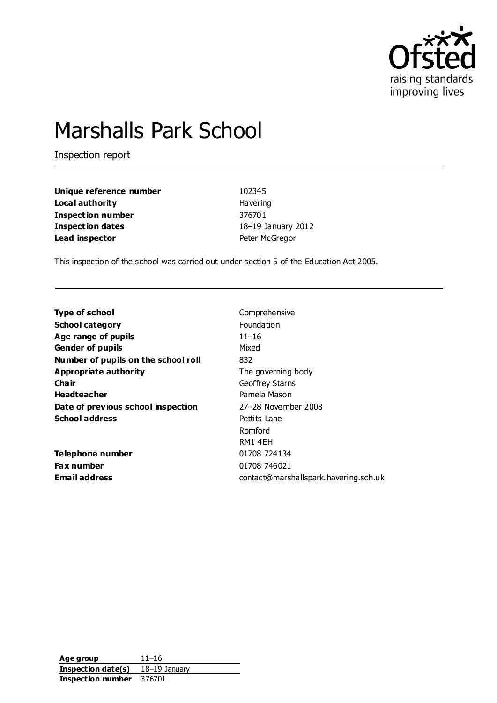

# Marshalls Park School

Inspection report

| Unique reference number  | 102345             |
|--------------------------|--------------------|
| Local authority          | <b>Havering</b>    |
| <b>Inspection number</b> | 376701             |
| <b>Inspection dates</b>  | 18-19 January 2012 |
| Lead inspector           | Peter McGregor     |

This inspection of the school was carried out under section 5 of the Education Act 2005.

| <b>Type of school</b>               | Comprehensive                         |
|-------------------------------------|---------------------------------------|
| <b>School category</b>              | <b>Foundation</b>                     |
| Age range of pupils                 | $11 - 16$                             |
| <b>Gender of pupils</b>             | Mixed                                 |
| Number of pupils on the school roll | 832                                   |
| Appropriate authority               | The governing body                    |
| Cha ir                              | Geoffrey Starns                       |
| <b>Headteacher</b>                  | Pamela Mason                          |
| Date of previous school inspection  | 27–28 November 2008                   |
| <b>School address</b>               | Pettits Lane                          |
|                                     | Romford                               |
|                                     | RM1 4EH                               |
| Telephone number                    | 01708 724134                          |
| <b>Fax number</b>                   | 01708 746021                          |
| Email address                       | contact@marshallspark.havering.sch.uk |
|                                     |                                       |

**Age group** 11–16 **Inspection date(s)** 18–19 January **Inspection number** 376701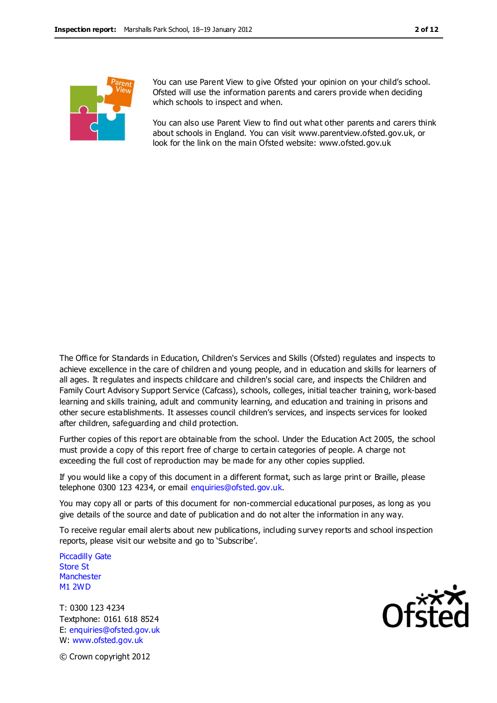

You can use Parent View to give Ofsted your opinion on your child's school. Ofsted will use the information parents and carers provide when deciding which schools to inspect and when.

You can also use Parent View to find out what other parents and carers think about schools in England. You can visit www.parentview.ofsted.gov.uk, or look for the link on the main Ofsted website: www.ofsted.gov.uk

The Office for Standards in Education, Children's Services and Skills (Ofsted) regulates and inspects to achieve excellence in the care of children and young people, and in education and skills for learners of all ages. It regulates and inspects childcare and children's social care, and inspects the Children and Family Court Advisory Support Service (Cafcass), schools, colleges, initial teacher trainin g, work-based learning and skills training, adult and community learning, and education and training in prisons and other secure establishments. It assesses council children's services, and inspects services for looked after children, safeguarding and child protection.

Further copies of this report are obtainable from the school. Under the Education Act 2005, the school must provide a copy of this report free of charge to certain categories of people. A charge not exceeding the full cost of reproduction may be made for any other copies supplied.

If you would like a copy of this document in a different format, such as large print or Braille, please telephone 0300 123 4234, or email enquiries@ofsted.gov.uk.

You may copy all or parts of this document for non-commercial educational purposes, as long as you give details of the source and date of publication and do not alter the information in any way.

To receive regular email alerts about new publications, including survey reports and school inspection reports, please visit our website and go to 'Subscribe'.

Piccadilly Gate Store St **Manchester** M1 2WD

T: 0300 123 4234 Textphone: 0161 618 8524 E: enquiries@ofsted.gov.uk W: www.ofsted.gov.uk



© Crown copyright 2012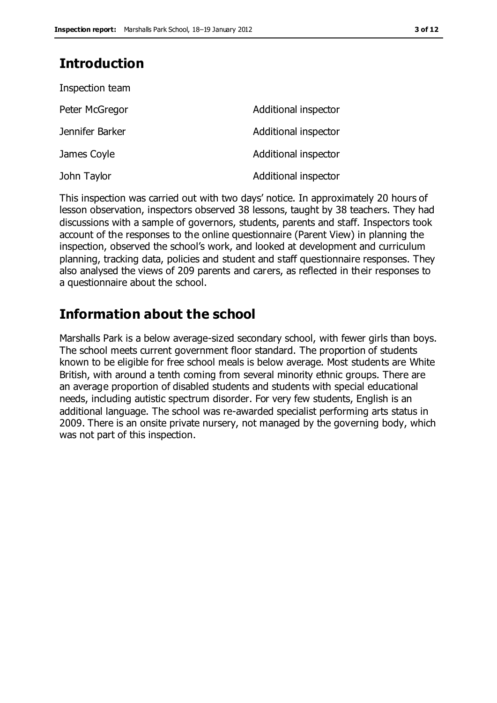# **Introduction**

| Inspection team |                      |
|-----------------|----------------------|
| Peter McGregor  | Additional inspector |
| Jennifer Barker | Additional inspector |
| James Coyle     | Additional inspector |
| John Taylor     | Additional inspector |

This inspection was carried out with two days' notice. In approximately 20 hours of lesson observation, inspectors observed 38 lessons, taught by 38 teachers. They had discussions with a sample of governors, students, parents and staff. Inspectors took account of the responses to the online questionnaire (Parent View) in planning the inspection, observed the school's work, and looked at development and curriculum planning, tracking data, policies and student and staff questionnaire responses. They also analysed the views of 209 parents and carers, as reflected in their responses to a questionnaire about the school.

# **Information about the school**

Marshalls Park is a below average-sized secondary school, with fewer girls than boys. The school meets current government floor standard. The proportion of students known to be eligible for free school meals is below average. Most students are White British, with around a tenth coming from several minority ethnic groups. There are an average proportion of disabled students and students with special educational needs, including autistic spectrum disorder. For very few students, English is an additional language. The school was re-awarded specialist performing arts status in 2009. There is an onsite private nursery, not managed by the governing body, which was not part of this inspection.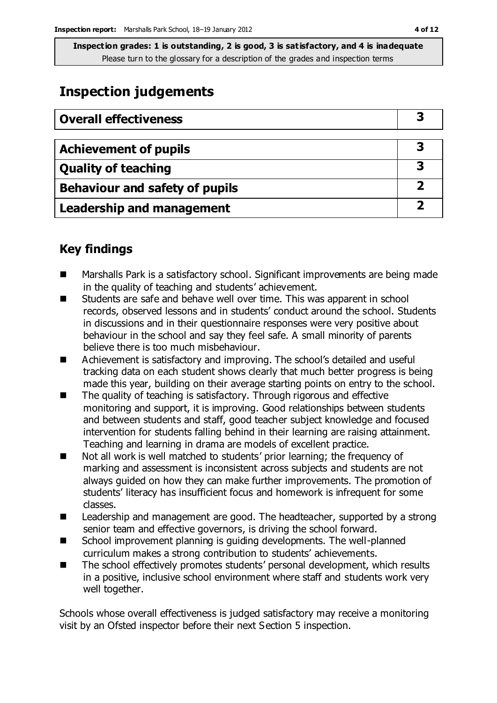# **Inspection judgements**

| <b>Overall effectiveness</b>          |   |
|---------------------------------------|---|
|                                       |   |
| <b>Achievement of pupils</b>          | З |
| <b>Quality of teaching</b>            | З |
| <b>Behaviour and safety of pupils</b> |   |
| <b>Leadership and management</b>      |   |

# **Key findings**

- Marshalls Park is a satisfactory school. Significant improvements are being made in the quality of teaching and students' achievement.
- Students are safe and behave well over time. This was apparent in school records, observed lessons and in students' conduct around the school. Students in discussions and in their questionnaire responses were very positive about behaviour in the school and say they feel safe. A small minority of parents believe there is too much misbehaviour.
- Achievement is satisfactory and improving. The school's detailed and useful tracking data on each student shows clearly that much better progress is being made this year, building on their average starting points on entry to the school.
- The quality of teaching is satisfactory. Through rigorous and effective monitoring and support, it is improving. Good relationships between students and between students and staff, good teacher subject knowledge and focused intervention for students falling behind in their learning are raising attainment. Teaching and learning in drama are models of excellent practice.
- Not all work is well matched to students' prior learning; the frequency of marking and assessment is inconsistent across subjects and students are not always guided on how they can make further improvements. The promotion of students' literacy has insufficient focus and homework is infrequent for some classes.
- Leadership and management are good. The headteacher, supported by a strong senior team and effective governors, is driving the school forward.
- School improvement planning is guiding developments. The well-planned curriculum makes a strong contribution to students' achievements.
- The school effectively promotes students' personal development, which results in a positive, inclusive school environment where staff and students work very well together.

Schools whose overall effectiveness is judged satisfactory may receive a monitoring visit by an Ofsted inspector before their next Section 5 inspection.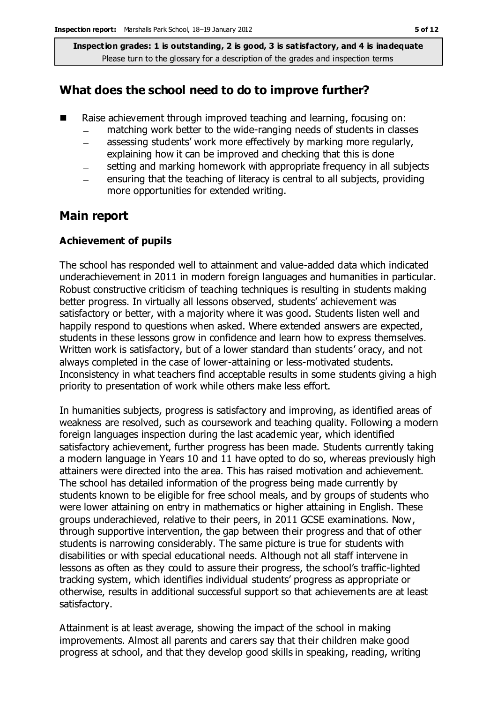#### **What does the school need to do to improve further?**

- Raise achievement through improved teaching and learning, focusing on:
	- matching work better to the wide-ranging needs of students in classes
	- assessing students' work more effectively by marking more regularly,  $\overline{\phantom{0}}$ explaining how it can be improved and checking that this is done
	- setting and marking homework with appropriate frequency in all subjects
	- ensuring that the teaching of literacy is central to all subjects, providing  $\equiv$ more opportunities for extended writing.

### **Main report**

#### **Achievement of pupils**

The school has responded well to attainment and value-added data which indicated underachievement in 2011 in modern foreign languages and humanities in particular. Robust constructive criticism of teaching techniques is resulting in students making better progress. In virtually all lessons observed, students' achievement was satisfactory or better, with a majority where it was good. Students listen well and happily respond to questions when asked. Where extended answers are expected, students in these lessons grow in confidence and learn how to express themselves. Written work is satisfactory, but of a lower standard than students' oracy, and not always completed in the case of lower-attaining or less-motivated students. Inconsistency in what teachers find acceptable results in some students giving a high priority to presentation of work while others make less effort.

In humanities subjects, progress is satisfactory and improving, as identified areas of weakness are resolved, such as coursework and teaching quality. Following a modern foreign languages inspection during the last academic year, which identified satisfactory achievement, further progress has been made. Students currently taking a modern language in Years 10 and 11 have opted to do so, whereas previously high attainers were directed into the area. This has raised motivation and achievement. The school has detailed information of the progress being made currently by students known to be eligible for free school meals, and by groups of students who were lower attaining on entry in mathematics or higher attaining in English. These groups underachieved, relative to their peers, in 2011 GCSE examinations. Now, through supportive intervention, the gap between their progress and that of other students is narrowing considerably. The same picture is true for students with disabilities or with special educational needs. Although not all staff intervene in lessons as often as they could to assure their progress, the school's traffic-lighted tracking system, which identifies individual students' progress as appropriate or otherwise, results in additional successful support so that achievements are at least satisfactory.

Attainment is at least average, showing the impact of the school in making improvements. Almost all parents and carers say that their children make good progress at school, and that they develop good skills in speaking, reading, writing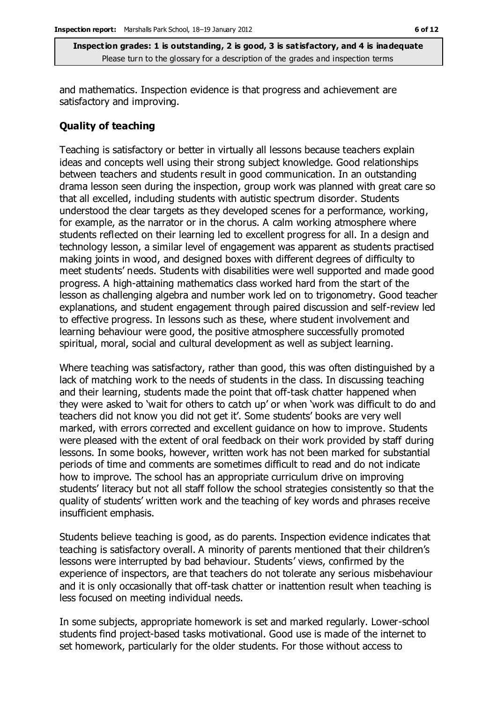and mathematics. Inspection evidence is that progress and achievement are satisfactory and improving.

#### **Quality of teaching**

Teaching is satisfactory or better in virtually all lessons because teachers explain ideas and concepts well using their strong subject knowledge. Good relationships between teachers and students result in good communication. In an outstanding drama lesson seen during the inspection, group work was planned with great care so that all excelled, including students with autistic spectrum disorder. Students understood the clear targets as they developed scenes for a performance, working, for example, as the narrator or in the chorus. A calm working atmosphere where students reflected on their learning led to excellent progress for all. In a design and technology lesson, a similar level of engagement was apparent as students practised making joints in wood, and designed boxes with different degrees of difficulty to meet students' needs. Students with disabilities were well supported and made good progress. A high-attaining mathematics class worked hard from the start of the lesson as challenging algebra and number work led on to trigonometry. Good teacher explanations, and student engagement through paired discussion and self-review led to effective progress. In lessons such as these, where student involvement and learning behaviour were good, the positive atmosphere successfully promoted spiritual, moral, social and cultural development as well as subject learning.

Where teaching was satisfactory, rather than good, this was often distinguished by a lack of matching work to the needs of students in the class. In discussing teaching and their learning, students made the point that off-task chatter happened when they were asked to 'wait for others to catch up' or when 'work was difficult to do and teachers did not know you did not get it'. Some students' books are very well marked, with errors corrected and excellent guidance on how to improve. Students were pleased with the extent of oral feedback on their work provided by staff during lessons. In some books, however, written work has not been marked for substantial periods of time and comments are sometimes difficult to read and do not indicate how to improve. The school has an appropriate curriculum drive on improving students' literacy but not all staff follow the school strategies consistently so that the quality of students' written work and the teaching of key words and phrases receive insufficient emphasis.

Students believe teaching is good, as do parents. Inspection evidence indicates that teaching is satisfactory overall. A minority of parents mentioned that their children's lessons were interrupted by bad behaviour. Students' views, confirmed by the experience of inspectors, are that teachers do not tolerate any serious misbehaviour and it is only occasionally that off-task chatter or inattention result when teaching is less focused on meeting individual needs.

In some subjects, appropriate homework is set and marked regularly. Lower-school students find project-based tasks motivational. Good use is made of the internet to set homework, particularly for the older students. For those without access to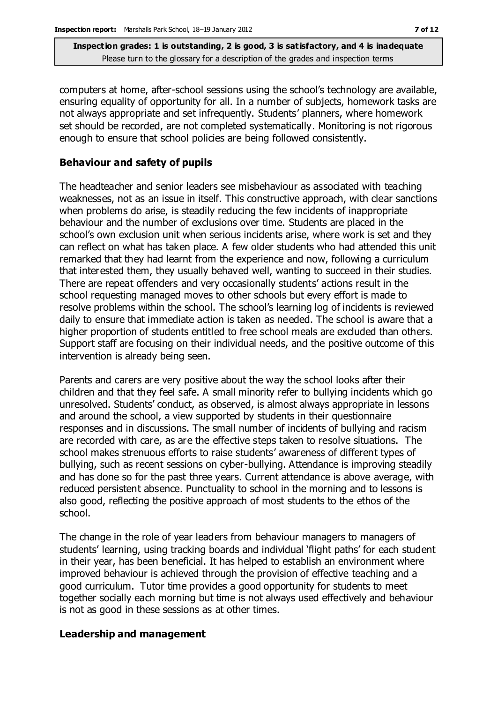computers at home, after-school sessions using the school's technology are available, ensuring equality of opportunity for all. In a number of subjects, homework tasks are not always appropriate and set infrequently. Students' planners, where homework set should be recorded, are not completed systematically. Monitoring is not rigorous enough to ensure that school policies are being followed consistently.

#### **Behaviour and safety of pupils**

The headteacher and senior leaders see misbehaviour as associated with teaching weaknesses, not as an issue in itself. This constructive approach, with clear sanctions when problems do arise, is steadily reducing the few incidents of inappropriate behaviour and the number of exclusions over time. Students are placed in the school's own exclusion unit when serious incidents arise, where work is set and they can reflect on what has taken place. A few older students who had attended this unit remarked that they had learnt from the experience and now, following a curriculum that interested them, they usually behaved well, wanting to succeed in their studies. There are repeat offenders and very occasionally students' actions result in the school requesting managed moves to other schools but every effort is made to resolve problems within the school. The school's learning log of incidents is reviewed daily to ensure that immediate action is taken as needed. The school is aware that a higher proportion of students entitled to free school meals are excluded than others. Support staff are focusing on their individual needs, and the positive outcome of this intervention is already being seen.

Parents and carers are very positive about the way the school looks after their children and that they feel safe. A small minority refer to bullying incidents which go unresolved. Students' conduct, as observed, is almost always appropriate in lessons and around the school, a view supported by students in their questionnaire responses and in discussions. The small number of incidents of bullying and racism are recorded with care, as are the effective steps taken to resolve situations. The school makes strenuous efforts to raise students' awareness of different types of bullying, such as recent sessions on cyber-bullying. Attendance is improving steadily and has done so for the past three years. Current attendance is above average, with reduced persistent absence. Punctuality to school in the morning and to lessons is also good, reflecting the positive approach of most students to the ethos of the school.

The change in the role of year leaders from behaviour managers to managers of students' learning, using tracking boards and individual 'flight paths' for each student in their year, has been beneficial. It has helped to establish an environment where improved behaviour is achieved through the provision of effective teaching and a good curriculum. Tutor time provides a good opportunity for students to meet together socially each morning but time is not always used effectively and behaviour is not as good in these sessions as at other times.

#### **Leadership and management**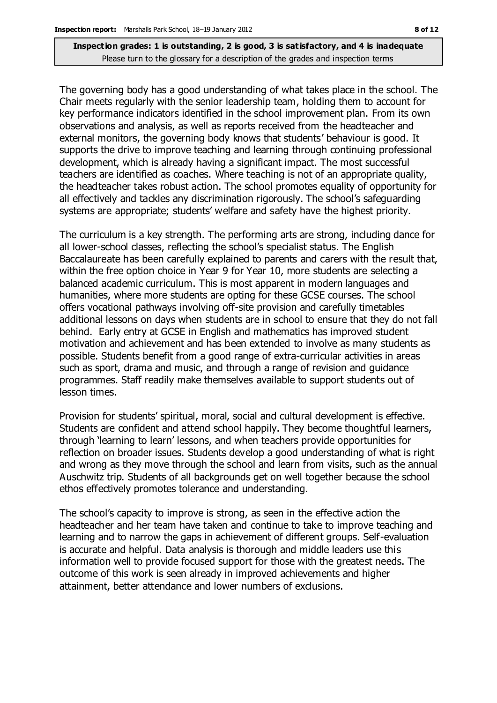The governing body has a good understanding of what takes place in the school. The Chair meets regularly with the senior leadership team, holding them to account for key performance indicators identified in the school improvement plan. From its own observations and analysis, as well as reports received from the headteacher and external monitors, the governing body knows that students' behaviour is good. It supports the drive to improve teaching and learning through continuing professional development, which is already having a significant impact. The most successful teachers are identified as coaches. Where teaching is not of an appropriate quality, the headteacher takes robust action. The school promotes equality of opportunity for all effectively and tackles any discrimination rigorously. The school's safeguarding systems are appropriate; students' welfare and safety have the highest priority.

The curriculum is a key strength. The performing arts are strong, including dance for all lower-school classes, reflecting the school's specialist status. The English Baccalaureate has been carefully explained to parents and carers with the result that, within the free option choice in Year 9 for Year 10, more students are selecting a balanced academic curriculum. This is most apparent in modern languages and humanities, where more students are opting for these GCSE courses. The school offers vocational pathways involving off-site provision and carefully timetables additional lessons on days when students are in school to ensure that they do not fall behind. Early entry at GCSE in English and mathematics has improved student motivation and achievement and has been extended to involve as many students as possible. Students benefit from a good range of extra-curricular activities in areas such as sport, drama and music, and through a range of revision and guidance programmes. Staff readily make themselves available to support students out of lesson times.

Provision for students' spiritual, moral, social and cultural development is effective. Students are confident and attend school happily. They become thoughtful learners, through 'learning to learn' lessons, and when teachers provide opportunities for reflection on broader issues. Students develop a good understanding of what is right and wrong as they move through the school and learn from visits, such as the annual Auschwitz trip. Students of all backgrounds get on well together because the school ethos effectively promotes tolerance and understanding.

The school's capacity to improve is strong, as seen in the effective action the headteacher and her team have taken and continue to take to improve teaching and learning and to narrow the gaps in achievement of different groups. Self-evaluation is accurate and helpful. Data analysis is thorough and middle leaders use this information well to provide focused support for those with the greatest needs. The outcome of this work is seen already in improved achievements and higher attainment, better attendance and lower numbers of exclusions.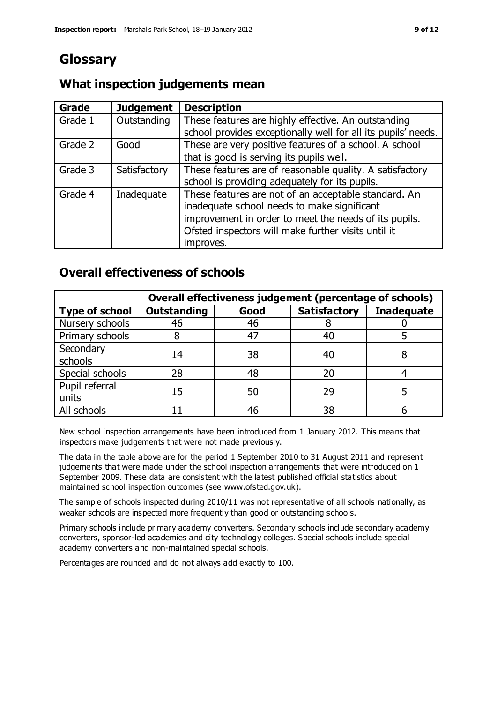# **Glossary**

### **What inspection judgements mean**

| Grade   | <b>Judgement</b> | <b>Description</b>                                                                                                                                                                                                               |
|---------|------------------|----------------------------------------------------------------------------------------------------------------------------------------------------------------------------------------------------------------------------------|
| Grade 1 | Outstanding      | These features are highly effective. An outstanding<br>school provides exceptionally well for all its pupils' needs.                                                                                                             |
| Grade 2 | Good             | These are very positive features of a school. A school<br>that is good is serving its pupils well.                                                                                                                               |
| Grade 3 | Satisfactory     | These features are of reasonable quality. A satisfactory<br>school is providing adequately for its pupils.                                                                                                                       |
| Grade 4 | Inadequate       | These features are not of an acceptable standard. An<br>inadequate school needs to make significant<br>improvement in order to meet the needs of its pupils.<br>Ofsted inspectors will make further visits until it<br>improves. |

# **Overall effectiveness of schools**

|                         | Overall effectiveness judgement (percentage of schools) |      |                     |                   |
|-------------------------|---------------------------------------------------------|------|---------------------|-------------------|
| <b>Type of school</b>   | <b>Outstanding</b>                                      | Good | <b>Satisfactory</b> | <b>Inadequate</b> |
| Nursery schools         | 46                                                      | 46   |                     |                   |
| Primary schools         | 8                                                       | 47   | 40                  |                   |
| Secondary<br>schools    | 14                                                      | 38   | 40                  | 8                 |
| Special schools         | 28                                                      | 48   | 20                  |                   |
| Pupil referral<br>units | 15                                                      | 50   | 29                  |                   |
| All schools             |                                                         | 46   | 38                  |                   |

New school inspection arrangements have been introduced from 1 January 2012. This means that inspectors make judgements that were not made previously.

The data in the table above are for the period 1 September 2010 to 31 August 2011 and represent judgements that were made under the school inspection arrangements that were introduced on 1 September 2009. These data are consistent with the latest published official statistics about maintained school inspection outcomes (see www.ofsted.gov.uk).

The sample of schools inspected during 2010/11 was not representative of all schools nationally, as weaker schools are inspected more frequently than good or outstanding schools.

Primary schools include primary academy converters. Secondary schools include secondary academy converters, sponsor-led academies and city technology colleges. Special schools include special academy converters and non-maintained special schools.

Percentages are rounded and do not always add exactly to 100.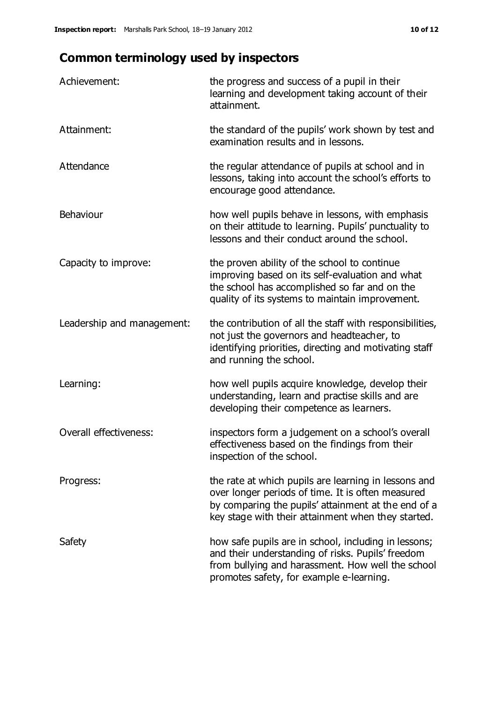# **Common terminology used by inspectors**

| Achievement:                  | the progress and success of a pupil in their<br>learning and development taking account of their<br>attainment.                                                                                                        |
|-------------------------------|------------------------------------------------------------------------------------------------------------------------------------------------------------------------------------------------------------------------|
| Attainment:                   | the standard of the pupils' work shown by test and<br>examination results and in lessons.                                                                                                                              |
| Attendance                    | the regular attendance of pupils at school and in<br>lessons, taking into account the school's efforts to<br>encourage good attendance.                                                                                |
| Behaviour                     | how well pupils behave in lessons, with emphasis<br>on their attitude to learning. Pupils' punctuality to<br>lessons and their conduct around the school.                                                              |
| Capacity to improve:          | the proven ability of the school to continue<br>improving based on its self-evaluation and what<br>the school has accomplished so far and on the<br>quality of its systems to maintain improvement.                    |
| Leadership and management:    | the contribution of all the staff with responsibilities,<br>not just the governors and headteacher, to<br>identifying priorities, directing and motivating staff<br>and running the school.                            |
| Learning:                     | how well pupils acquire knowledge, develop their<br>understanding, learn and practise skills and are<br>developing their competence as learners.                                                                       |
| <b>Overall effectiveness:</b> | inspectors form a judgement on a school's overall<br>effectiveness based on the findings from their<br>inspection of the school.                                                                                       |
| Progress:                     | the rate at which pupils are learning in lessons and<br>over longer periods of time. It is often measured<br>by comparing the pupils' attainment at the end of a<br>key stage with their attainment when they started. |
| Safety                        | how safe pupils are in school, including in lessons;<br>and their understanding of risks. Pupils' freedom<br>from bullying and harassment. How well the school<br>promotes safety, for example e-learning.             |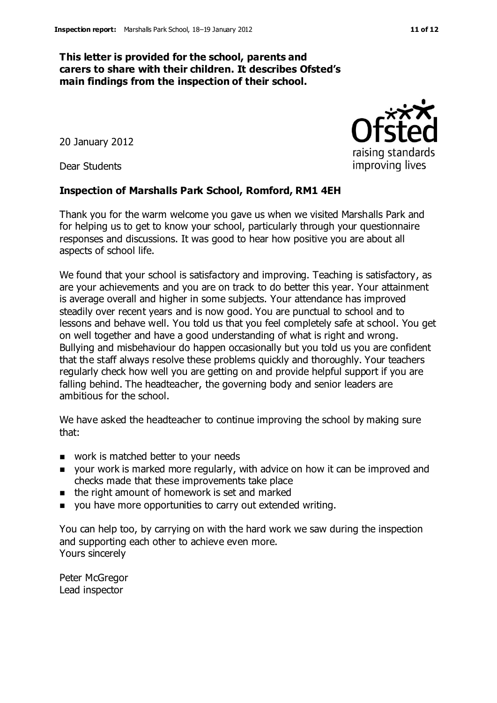#### **This letter is provided for the school, parents and carers to share with their children. It describes Ofsted's main findings from the inspection of their school.**

20 January 2012

Dear Students

#### **Inspection of Marshalls Park School, Romford, RM1 4EH**

Thank you for the warm welcome you gave us when we visited Marshalls Park and for helping us to get to know your school, particularly through your questionnaire responses and discussions. It was good to hear how positive you are about all aspects of school life.

We found that your school is satisfactory and improving. Teaching is satisfactory, as are your achievements and you are on track to do better this year. Your attainment is average overall and higher in some subjects. Your attendance has improved steadily over recent years and is now good. You are punctual to school and to lessons and behave well. You told us that you feel completely safe at school. You get on well together and have a good understanding of what is right and wrong. Bullying and misbehaviour do happen occasionally but you told us you are confident that the staff always resolve these problems quickly and thoroughly. Your teachers regularly check how well you are getting on and provide helpful support if you are falling behind. The headteacher, the governing body and senior leaders are ambitious for the school.

We have asked the headteacher to continue improving the school by making sure that:

- work is matched better to your needs
- **DED** your work is marked more regularly, with advice on how it can be improved and checks made that these improvements take place
- $\blacksquare$  the right amount of homework is set and marked
- you have more opportunities to carry out extended writing.

You can help too, by carrying on with the hard work we saw during the inspection and supporting each other to achieve even more. Yours sincerely

Peter McGregor Lead inspector